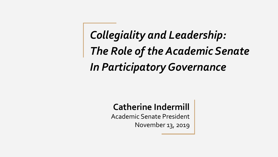*Collegiality and Leadership: The Role of the Academic Senate In Participatory Governance*

### **Catherine Indermill**

Academic Senate President November 13, 2019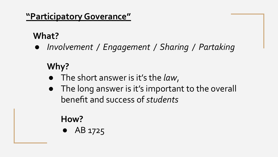### **"Participatory Goverance"**

## **What?**

*● Involvement / Engagement / Sharing / Partaking* 

# **Why?**

- The short answer is it's the *law*,
- The long answer is it's important to the overall benefit and success of *students*

### **How?**

● AB 1725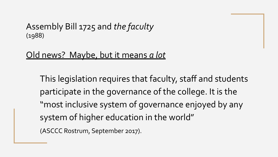### Assembly Bill 1725 and *the faculty* (1988)

### Old news? Maybe, but it means *a lot*

This legislation requires that faculty, staff and students participate in the governance of the college. It is the "most inclusive system of governance enjoyed by any system of higher education in the world" (ASCCC Rostrum, September 2017).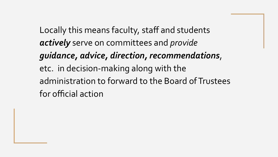Locally this means faculty, staff and students *actively* serve on committees and *provide guidance, advice, direction, recommendations*, etc. in decision-making along with the administration to forward to the Board of Trustees for official action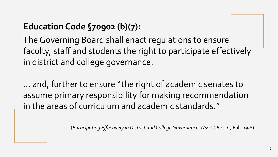## **Education Code §70902 (b)(7):**

The Governing Board shall enact regulations to ensure faculty, staff and students the right to participate effectively in district and college governance.

… and, further to ensure "the right of academic senates to assume primary responsibility for making recommendation in the areas of curriculum and academic standards."

(*Participating Effectively in District and College Governance*, ASCCC/CCLC, Fall 1998).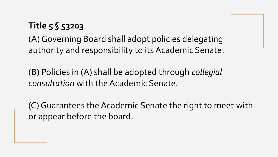## **Title 5 § 53203**

(A) Governing Board shall adopt policies delegating authority and responsibility to its Academic Senate.

(B) Policies in (A) shall be adopted through *collegial consultation* with the Academic Senate.

(C) Guarantees the Academic Senate the right to meet with or appear before the board.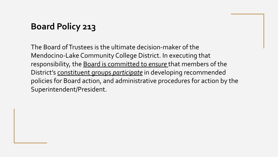### **Board Policy 213**

The Board of Trustees is the ultimate decision-maker of the Mendocino-Lake Community College District. In executing that responsibility, the Board is committed to *ensure* that members of the District's constituent groups *participate* in developing recommended policies for Board action, and administrative procedures for action by the Superintendent/President.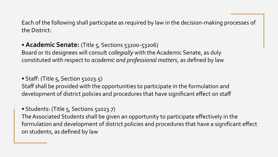Each of the following shall participate as required by law in the decision-making processes of the District:

### • **Academic Senate:** (Title 5, Sections 53200-53206)

Board or its designees will consult *collegially* with the Academic Senate, as duly constituted with respect to *academic and professional matters*, as defined by law

#### • Staff: (Title  $5,$  Section  $51023.5$ )

Staff shall be provided with the opportunities to participate in the formulation and development of district policies and procedures that have significant effect on staff

#### • Students: (Title 5, Sections 51023.7)

The Associated Students shall be given an opportunity to participate effectively in the formulation and development of district policies and procedures that have a significant effect on students, as defined by law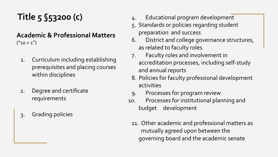## **Title 5 §53200 (c)**

#### **Academic & Professional Matters**  $("10 + 1")$

- 1. Curriculum including establishing prerequisites and placing courses within disciplines
- 2. Degree and certificate requirements
- 3. Grading policies
- 4. Educational program development
- 5. Standards or policies regarding student preparation and success
- 6. District and college governance structures, as related to faculty roles
- 7. Faculty roles and involvement in accreditation processes, including self-study and annual reports
- 8. Policies for faculty professional development activities
- 9. Processes for program review
- 10. Processes for institutional planning and budget development
	- 11. Other academic and professional matters as mutually agreed upon between the governing board and the academic senate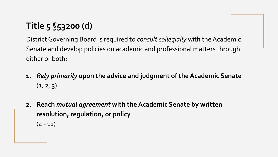# **Title 5 §53200 (d)**

District Governing Board is required to *consult collegially* with the Academic Senate and develop policies on academic and professional matters through either or both:

- **1.** *Rely primarily* **upon the advice and judgment of the Academic Senate**  $(1, 2, 3)$
- **2. Reach** *mutual agreement* **with the Academic Senate by written resolution, regulation, or policy**  $(4 - 11)$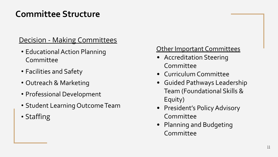### **Committee Structure**

### Decision - Making Committees

- Educational Action Planning Committee
- Facilities and Safety
- Outreach & Marketing
- Professional Development
- Student Learning Outcome Team
- Staffing

### Other Important Committees

- Accreditation Steering Committee
- Curriculum Committee
- Guided Pathways Leadership Team (Foundational Skills & Equity)
- President's Policy Advisory Committee
- Planning and Budgeting Committee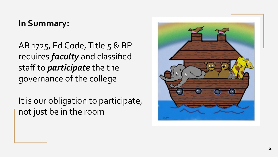### **In Summary:**

AB 1725, Ed Code, Title 5 & BP requires *faculty* and classified staff to *participate* the the governance of the college

It is our obligation to participate, not just be in the room